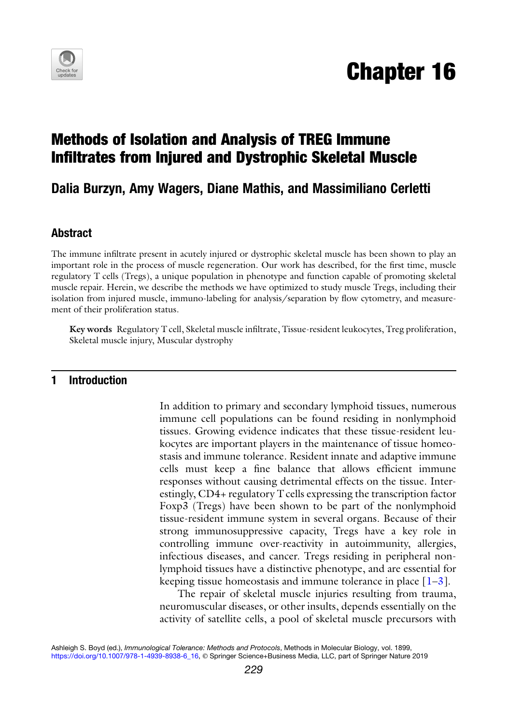

# Methods of Isolation and Analysis of TREG Immune Infiltrates from Injured and Dystrophic Skeletal Muscle

## Dalia Burzyn, Amy Wagers, Diane Mathis, and Massimiliano Cerletti

#### Abstract

The immune infiltrate present in acutely injured or dystrophic skeletal muscle has been shown to play an important role in the process of muscle regeneration. Our work has described, for the first time, muscle regulatory T cells (Tregs), a unique population in phenotype and function capable of promoting skeletal muscle repair. Herein, we describe the methods we have optimized to study muscle Tregs, including their isolation from injured muscle, immuno-labeling for analysis/separation by flow cytometry, and measurement of their proliferation status.

Key words Regulatory T cell, Skeletal muscle infiltrate, Tissue-resident leukocytes, Treg proliferation, Skeletal muscle injury, Muscular dystrophy

### 1 Introduction

In addition to primary and secondary lymphoid tissues, numerous immune cell populations can be found residing in nonlymphoid tissues. Growing evidence indicates that these tissue-resident leukocytes are important players in the maintenance of tissue homeostasis and immune tolerance. Resident innate and adaptive immune cells must keep a fine balance that allows efficient immune responses without causing detrimental effects on the tissue. Interestingly, CD4+ regulatory T cells expressing the transcription factor Foxp3 (Tregs) have been shown to be part of the nonlymphoid tissue-resident immune system in several organs. Because of their strong immunosuppressive capacity, Tregs have a key role in controlling immune over-reactivity in autoimmunity, allergies, infectious diseases, and cancer. Tregs residing in peripheral nonlymphoid tissues have a distinctive phenotype, and are essential for keeping tissue homeostasis and immune tolerance in place  $[1-3]$  $[1-3]$ .

The repair of skeletal muscle injuries resulting from trauma, neuromuscular diseases, or other insults, depends essentially on the activity of satellite cells, a pool of skeletal muscle precursors with

Ashleigh S. Boyd (ed.), Immunological Tolerance: Methods and Protocols, Methods in Molecular Biology, vol. 1899, [https://doi.org/10.1007/978-1-4939-8938-6\\_16](https://doi.org/10.1007/978-1-4939-8938-6_16), © Springer Science+Business Media, LLC, part of Springer Nature 2019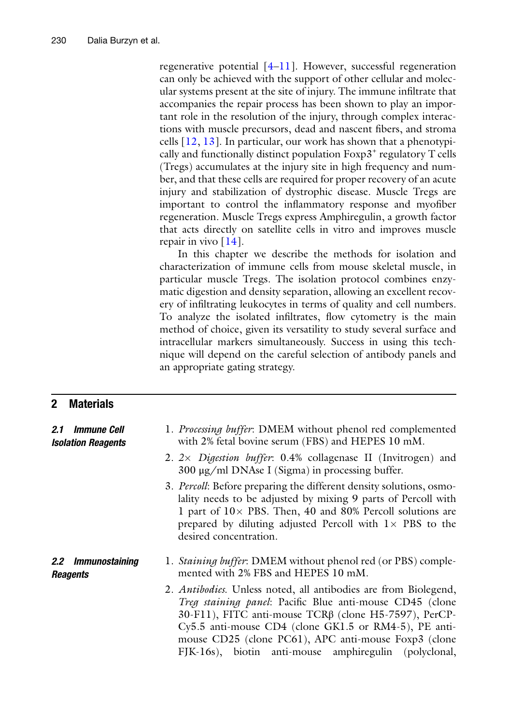regenerative potential [\[4](#page-8-2)[–11](#page-8-3)]. However, successful regeneration can only be achieved with the support of other cellular and molecular systems present at the site of injury. The immune infiltrate that accompanies the repair process has been shown to play an important role in the resolution of the injury, through complex interactions with muscle precursors, dead and nascent fibers, and stroma cells  $[12, 13]$  $[12, 13]$  $[12, 13]$ . In particular, our work has shown that a phenotypically and functionally distinct population  $F\alpha p3^+$  regulatory  $T$  cells (Tregs) accumulates at the injury site in high frequency and number, and that these cells are required for proper recovery of an acute injury and stabilization of dystrophic disease. Muscle Tregs are important to control the inflammatory response and myofiber regeneration. Muscle Tregs express Amphiregulin, a growth factor that acts directly on satellite cells in vitro and improves muscle repair in vivo  $[14]$  $[14]$ .

In this chapter we describe the methods for isolation and characterization of immune cells from mouse skeletal muscle, in particular muscle Tregs. The isolation protocol combines enzymatic digestion and density separation, allowing an excellent recovery of infiltrating leukocytes in terms of quality and cell numbers. To analyze the isolated infiltrates, flow cytometry is the main method of choice, given its versatility to study several surface and intracellular markers simultaneously. Success in using this technique will depend on the careful selection of antibody panels and an appropriate gating strategy.

#### 2 Materials

| <i><b>Immune Cell</b></i><br>2.1<br><b>Isolation Reagents</b> | 1. Processing buffer: DMEM without phenol red complemented<br>with 2% fetal bovine serum (FBS) and HEPES 10 mM.                                                                                                                                                                                                                                                |
|---------------------------------------------------------------|----------------------------------------------------------------------------------------------------------------------------------------------------------------------------------------------------------------------------------------------------------------------------------------------------------------------------------------------------------------|
|                                                               | 2. $2 \times$ Digestion buffer: 0.4% collagenase II (Invitrogen) and<br>$300 \mu g/ml$ DNAse I (Sigma) in processing buffer.                                                                                                                                                                                                                                   |
|                                                               | 3. Percoll: Before preparing the different density solutions, osmo-<br>lality needs to be adjusted by mixing 9 parts of Percoll with<br>1 part of $10 \times$ PBS. Then, 40 and 80% Percoll solutions are<br>prepared by diluting adjusted Percoll with $1 \times$ PBS to the<br>desired concentration.                                                        |
| 2.2 Immunostaining<br>Reagents                                | 1. Staining buffer: DMEM without phenol red (or PBS) comple-<br>mented with 2% FBS and HEPES 10 mM.                                                                                                                                                                                                                                                            |
|                                                               | 2. Antibodies. Unless noted, all antibodies are from Biolegend,<br>Treg staining panel: Pacific Blue anti-mouse CD45 (clone<br>30-F11), FITC anti-mouse TCRβ (clone H5-7597), PerCP-<br>Cy5.5 anti-mouse CD4 (clone GK1.5 or RM4-5), PE anti-<br>mouse CD25 (clone PC61), APC anti-mouse Foxp3 (clone<br>FJK-16s), biotin anti-mouse amphiregulin (polyclonal, |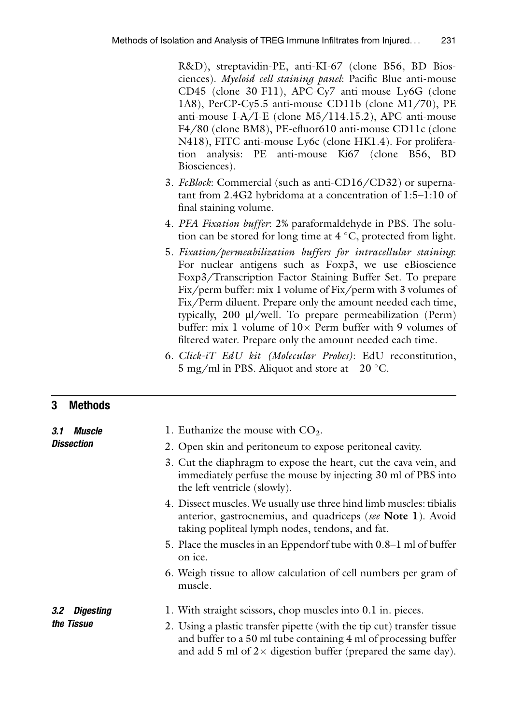R&D), streptavidin-PE, anti-KI-67 (clone B56, BD Biosciences). Myeloid cell staining panel: Pacific Blue anti-mouse CD45 (clone 30-F11), APC-Cy7 anti-mouse Ly6G (clone 1A8), PerCP-Cy5.5 anti-mouse CD11b (clone M1/70), PE anti-mouse I-A/I-E (clone M5/114.15.2), APC anti-mouse F4/80 (clone BM8), PE-efluor610 anti-mouse CD11c (clone N418), FITC anti-mouse Ly6c (clone HK1.4). For proliferation analysis: PE anti-mouse Ki67 (clone B56, BD Biosciences).

- 3. FcBlock: Commercial (such as anti-CD16/CD32) or supernatant from 2.4G2 hybridoma at a concentration of 1:5–1:10 of final staining volume.
- 4. *PFA Fixation buffer*: 2% paraformaldehyde in PBS. The solution can be stored for long time at  $4^{\circ}$ C, protected from light.
- 5. Fixation/permeabilization buffers for intracellular staining: For nuclear antigens such as Foxp3, we use eBioscience Foxp3/Transcription Factor Staining Buffer Set. To prepare Fix/perm buffer: mix 1 volume of Fix/perm with 3 volumes of Fix/Perm diluent. Prepare only the amount needed each time, typically, 200 μl/well. To prepare permeabilization (Perm) buffer: mix 1 volume of  $10\times$  Perm buffer with 9 volumes of filtered water. Prepare only the amount needed each time.
- 6. Click-iT EdU kit (Molecular Probes): EdU reconstitution, 5 mg/ml in PBS. Aliquot and store at  $-20$  °C.

#### 3 Methods

| <i><b>Muscle</b></i><br>3.1<br><b>Dissection</b> | 1. Euthanize the mouse with $CO2$ .<br>2. Open skin and peritoneum to expose peritoneal cavity.                                                                                                                   |
|--------------------------------------------------|-------------------------------------------------------------------------------------------------------------------------------------------------------------------------------------------------------------------|
|                                                  | 3. Cut the diaphragm to expose the heart, cut the cava vein, and<br>immediately perfuse the mouse by injecting 30 ml of PBS into<br>the left ventricle (slowly).                                                  |
|                                                  | 4. Dissect muscles. We usually use three hind limb muscles: tibialis<br>anterior, gastrocnemius, and quadriceps (see Note 1). Avoid<br>taking popliteal lymph nodes, tendons, and fat.                            |
|                                                  | 5. Place the muscles in an Eppendorf tube with 0.8–1 ml of buffer<br>on ice.                                                                                                                                      |
|                                                  | 6. Weigh tissue to allow calculation of cell numbers per gram of<br>muscle.                                                                                                                                       |
| <b>Digesting</b><br>3.2<br>the Tissue            | 1. With straight scissors, chop muscles into 0.1 in. pieces.                                                                                                                                                      |
|                                                  | 2. Using a plastic transfer pipette (with the tip cut) transfer tissue<br>and buffer to a 50 ml tube containing 4 ml of processing buffer<br>and add 5 ml of $2 \times$ digestion buffer (prepared the same day). |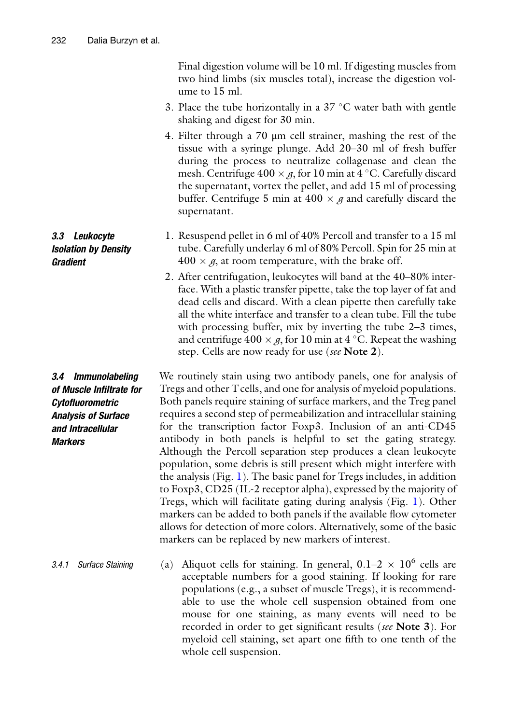**Gradient** 

Final digestion volume will be 10 ml. If digesting muscles from two hind limbs (six muscles total), increase the digestion volume to 15 ml.

- 3. Place the tube horizontally in a  $37^{\circ}$ C water bath with gentle shaking and digest for 30 min.
- 4. Filter through a 70 μm cell strainer, mashing the rest of the tissue with a syringe plunge. Add 20–30 ml of fresh buffer during the process to neutralize collagenase and clean the mesh. Centrifuge  $400 \times g$ , for 10 min at 4 °C. Carefully discard the supernatant, vortex the pellet, and add 15 ml of processing buffer. Centrifuge 5 min at 400  $\times$  g and carefully discard the supernatant.
- 3.3 Leukocyte Isolation by Density 1. Resuspend pellet in 6 ml of 40% Percoll and transfer to a 15 ml tube. Carefully underlay 6 ml of 80% Percoll. Spin for 25 min at  $400 \times g$ , at room temperature, with the brake off.
	- 2. After centrifugation, leukocytes will band at the 40–80% interface. With a plastic transfer pipette, take the top layer of fat and dead cells and discard. With a clean pipette then carefully take all the white interface and transfer to a clean tube. Fill the tube with processing buffer, mix by inverting the tube 2–3 times, and centrifuge  $400 \times g$ , for 10 min at 4 °C. Repeat the washing step. Cells are now ready for use (see Note 2).

3.4 Immunolabeling of Muscle Infiltrate for Cytofluorometric Analysis of Surface and Intracellular **Markers** We routinely stain using two antibody panels, one for analysis of Tregs and other T cells, and one for analysis of myeloid populations. Both panels require staining of surface markers, and the Treg panel requires a second step of permeabilization and intracellular staining for the transcription factor Foxp3. Inclusion of an anti-CD45 antibody in both panels is helpful to set the gating strategy. Although the Percoll separation step produces a clean leukocyte population, some debris is still present which might interfere with the analysis (Fig.  $1$ ). The basic panel for Tregs includes, in addition to Foxp3, CD25 (IL-2 receptor alpha), expressed by the majority of Tregs, which will facilitate gating during analysis (Fig. [1\)](#page-4-0). Other markers can be added to both panels if the available flow cytometer allows for detection of more colors. Alternatively, some of the basic markers can be replaced by new markers of interest.

<span id="page-3-0"></span>3.4.1 Surface Staining (a) Aliquot cells for staining. In general,  $0.1-2 \times 10^6$  cells are acceptable numbers for a good staining. If looking for rare populations (e.g., a subset of muscle Tregs), it is recommendable to use the whole cell suspension obtained from one mouse for one staining, as many events will need to be recorded in order to get significant results (see Note 3). For myeloid cell staining, set apart one fifth to one tenth of the whole cell suspension.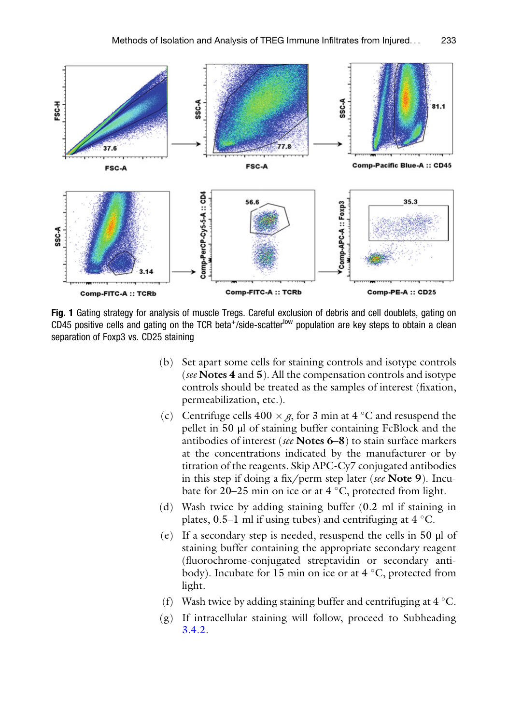<span id="page-4-0"></span>

Fig. 1 Gating strategy for analysis of muscle Tregs. Careful exclusion of debris and cell doublets, gating on CD45 positive cells and gating on the TCR beta<sup>+</sup>/side-scatter<sup>low</sup> population are key steps to obtain a clean separation of Foxp3 vs. CD25 staining

- (b) Set apart some cells for staining controls and isotype controls (see Notes 4 and 5). All the compensation controls and isotype controls should be treated as the samples of interest (fixation, permeabilization, etc.).
- (c) Centrifuge cells  $400 \times g$ , for 3 min at 4 °C and resuspend the pellet in 50 μl of staining buffer containing FcBlock and the antibodies of interest (see Notes  $6-8$ ) to stain surface markers at the concentrations indicated by the manufacturer or by titration of the reagents. Skip APC-Cy7 conjugated antibodies in this step if doing a fix/perm step later (see Note 9). Incubate for 20–25 min on ice or at 4  $\degree$ C, protected from light.
- (d) Wash twice by adding staining buffer (0.2 ml if staining in plates, 0.5–1 ml if using tubes) and centrifuging at  $4^{\circ}$ C.
- (e) If a secondary step is needed, resuspend the cells in 50 μl of staining buffer containing the appropriate secondary reagent (fluorochrome-conjugated streptavidin or secondary antibody). Incubate for 15 min on ice or at  $4^{\circ}$ C, protected from light.
- (f) Wash twice by adding staining buffer and centrifuging at  $4^{\circ}$ C.
- (g) If intracellular staining will follow, proceed to Subheading [3.4.2](#page-5-0).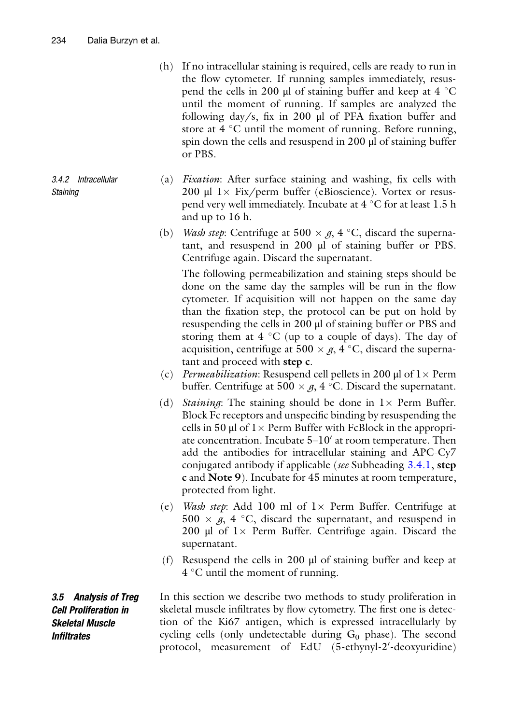<span id="page-5-0"></span>3.4.2 Intracellular

**Staining** 

- (h) If no intracellular staining is required, cells are ready to run in the flow cytometer. If running samples immediately, resuspend the cells in 200  $\mu$ l of staining buffer and keep at 4 °C until the moment of running. If samples are analyzed the following day/s, fix in 200 μl of PFA fixation buffer and store at  $4^{\circ}$ C until the moment of running. Before running, spin down the cells and resuspend in 200 μl of staining buffer or PBS.
- (a) Fixation: After surface staining and washing, fix cells with 200 μl  $1 \times$  Fix/perm buffer (eBioscience). Vortex or resuspend very well immediately. Incubate at  $4^{\circ}$ C for at least 1.5 h and up to 16 h.
- (b) Wash step: Centrifuge at 500  $\times$  g, 4 °C, discard the supernatant, and resuspend in 200 μl of staining buffer or PBS. Centrifuge again. Discard the supernatant.

The following permeabilization and staining steps should be done on the same day the samples will be run in the flow cytometer. If acquisition will not happen on the same day than the fixation step, the protocol can be put on hold by resuspending the cells in 200 μl of staining buffer or PBS and storing them at  $4 \degree C$  (up to a couple of days). The day of acquisition, centrifuge at  $500 \times g$ ,  $4^{\circ}$ C, discard the supernatant and proceed with step c.

- (c) Permeabilization: Resuspend cell pellets in 200 μl of  $1 \times$  Perm buffer. Centrifuge at  $500 \times g$ , 4 °C. Discard the supernatant.
- (d) Staining: The staining should be done in  $1 \times$  Perm Buffer. Block Fc receptors and unspecific binding by resuspending the cells in 50 μl of  $1 \times$  Perm Buffer with FcBlock in the appropriate concentration. Incubate  $5-10'$  at room temperature. Then add the antibodies for intracellular staining and APC-Cy7 conjugated antibody if applicable (see Subheading [3.4.1,](#page-3-0) step c and Note 9). Incubate for 45 minutes at room temperature, protected from light.
- (e) Wash step: Add 100 ml of  $1 \times$  Perm Buffer. Centrifuge at  $500 \times g$ ,  $4 \degree$ C, discard the supernatant, and resuspend in 200 μl of  $1 \times$  Perm Buffer. Centrifuge again. Discard the supernatant.
- (f) Resuspend the cells in 200 μl of staining buffer and keep at  $4^{\circ}$ C until the moment of running.

In this section we describe two methods to study proliferation in skeletal muscle infiltrates by flow cytometry. The first one is detection of the Ki67 antigen, which is expressed intracellularly by cycling cells (only undetectable during  $G_0$  phase). The second protocol, measurement of EdU (5-ethynyl-2'-deoxyuridine)

3.5 Analysis of Treg Cell Proliferation in Skeletal Muscle Infiltrates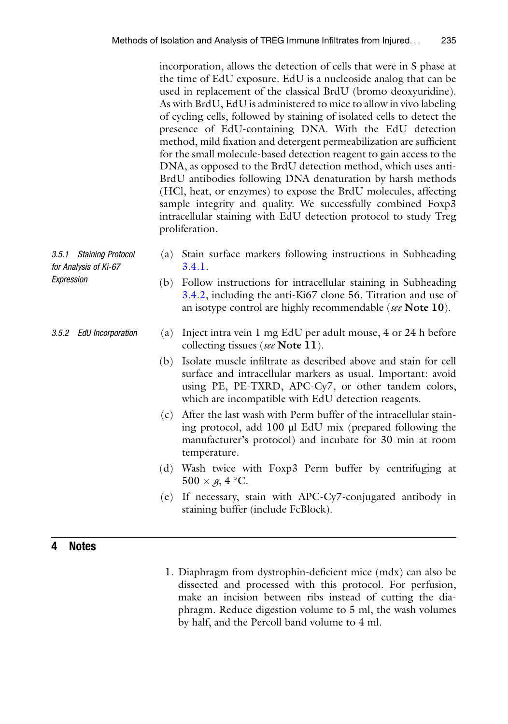incorporation, allows the detection of cells that were in S phase at the time of EdU exposure. EdU is a nucleoside analog that can be used in replacement of the classical BrdU (bromo-deoxyuridine). As with BrdU, EdU is administered to mice to allow in vivo labeling of cycling cells, followed by staining of isolated cells to detect the presence of EdU-containing DNA. With the EdU detection method, mild fixation and detergent permeabilization are sufficient for the small molecule-based detection reagent to gain access to the DNA, as opposed to the BrdU detection method, which uses anti-BrdU antibodies following DNA denaturation by harsh methods (HCl, heat, or enzymes) to expose the BrdU molecules, affecting sample integrity and quality. We successfully combined Foxp3 intracellular staining with EdU detection protocol to study Treg proliferation.

- (a) Stain surface markers following instructions in Subheading [3.4.1](#page-3-0).
	- (b) Follow instructions for intracellular staining in Subheading [3.4.2](#page-5-0), including the anti-Ki67 clone 56. Titration and use of an isotype control are highly recommendable (see Note 10).
- 3.5.2 EdU Incorporation (a) Inject intra vein 1 mg EdU per adult mouse, 4 or 24 h before collecting tissues (see Note 11).
	- (b) Isolate muscle infiltrate as described above and stain for cell surface and intracellular markers as usual. Important: avoid using PE, PE-TXRD, APC-Cy7, or other tandem colors, which are incompatible with EdU detection reagents.
	- (c) After the last wash with Perm buffer of the intracellular staining protocol, add 100 μl EdU mix (prepared following the manufacturer's protocol) and incubate for 30 min at room temperature.
	- (d) Wash twice with Foxp3 Perm buffer by centrifuging at  $500 \times g$ ,  $4^{\circ}$ C.
	- (e) If necessary, stain with APC-Cy7-conjugated antibody in staining buffer (include FcBlock).

#### 4 Notes

1. Diaphragm from dystrophin-deficient mice (mdx) can also be dissected and processed with this protocol. For perfusion, make an incision between ribs instead of cutting the diaphragm. Reduce digestion volume to 5 ml, the wash volumes by half, and the Percoll band volume to 4 ml.

|            | 3.5.1 Staining Protocol |
|------------|-------------------------|
|            | for Analysis of Ki-67   |
| Expression |                         |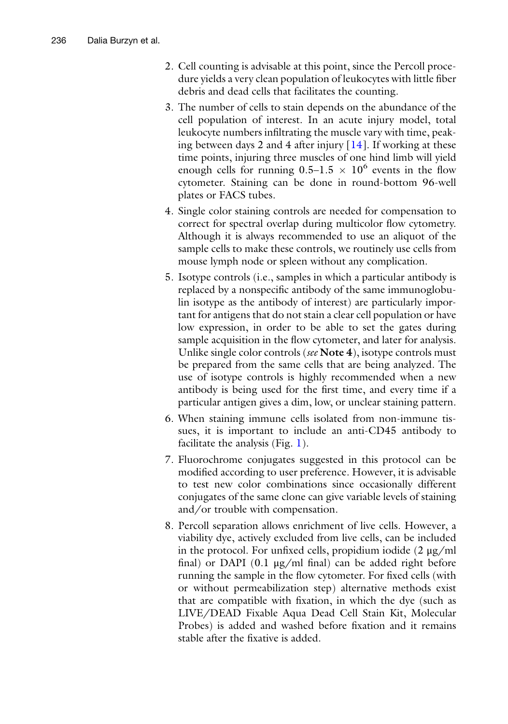- 2. Cell counting is advisable at this point, since the Percoll procedure yields a very clean population of leukocytes with little fiber debris and dead cells that facilitates the counting.
- 3. The number of cells to stain depends on the abundance of the cell population of interest. In an acute injury model, total leukocyte numbers infiltrating the muscle vary with time, peaking between days 2 and 4 after injury  $[14]$  $[14]$ . If working at these time points, injuring three muscles of one hind limb will yield enough cells for running  $0.5-1.5 \times 10^6$  events in the flow cytometer. Staining can be done in round-bottom 96-well plates or FACS tubes.
- 4. Single color staining controls are needed for compensation to correct for spectral overlap during multicolor flow cytometry. Although it is always recommended to use an aliquot of the sample cells to make these controls, we routinely use cells from mouse lymph node or spleen without any complication.
- 5. Isotype controls (i.e., samples in which a particular antibody is replaced by a nonspecific antibody of the same immunoglobulin isotype as the antibody of interest) are particularly important for antigens that do not stain a clear cell population or have low expression, in order to be able to set the gates during sample acquisition in the flow cytometer, and later for analysis. Unlike single color controls (see **Note 4**), isotype controls must be prepared from the same cells that are being analyzed. The use of isotype controls is highly recommended when a new antibody is being used for the first time, and every time if a particular antigen gives a dim, low, or unclear staining pattern.
- 6. When staining immune cells isolated from non-immune tissues, it is important to include an anti-CD45 antibody to facilitate the analysis (Fig. [1](#page-4-0)).
- 7. Fluorochrome conjugates suggested in this protocol can be modified according to user preference. However, it is advisable to test new color combinations since occasionally different conjugates of the same clone can give variable levels of staining and/or trouble with compensation.
- 8. Percoll separation allows enrichment of live cells. However, a viability dye, actively excluded from live cells, can be included in the protocol. For unfixed cells, propidium iodide (2 μg/ml final) or DAPI  $(0.1 \mu g/ml$  final) can be added right before running the sample in the flow cytometer. For fixed cells (with or without permeabilization step) alternative methods exist that are compatible with fixation, in which the dye (such as LIVE/DEAD Fixable Aqua Dead Cell Stain Kit, Molecular Probes) is added and washed before fixation and it remains stable after the fixative is added.